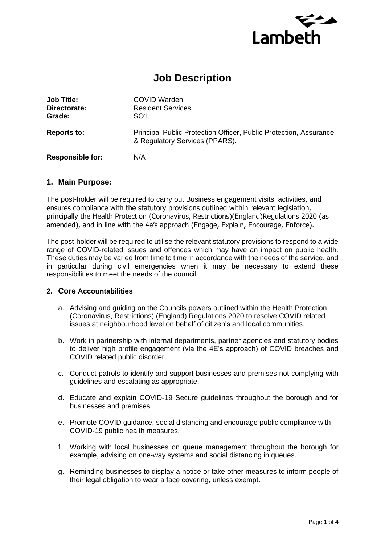

# **Job Description**

| <b>Job Title:</b><br>Directorate:<br>Grade: | COVID Warden<br><b>Resident Services</b><br>SO <sub>1</sub>                                         |
|---------------------------------------------|-----------------------------------------------------------------------------------------------------|
| <b>Reports to:</b>                          | Principal Public Protection Officer, Public Protection, Assurance<br>& Regulatory Services (PPARS). |
| <b>Responsible for:</b>                     | N/A                                                                                                 |

### **1. Main Purpose:**

The post-holder will be required to carry out Business engagement visits, activities, and ensures compliance with the statutory provisions outlined within relevant legislation, principally the Health Protection (Coronavirus, Restrictions)(England)Regulations 2020 (as amended), and in line with the 4e's approach (Engage, Explain, Encourage, Enforce).

The post-holder will be required to utilise the relevant statutory provisions to respond to a wide range of COVID-related issues and offences which may have an impact on public health. These duties may be varied from time to time in accordance with the needs of the service, and in particular during civil emergencies when it may be necessary to extend these responsibilities to meet the needs of the council.

### **2. Core Accountabilities**

- a. Advising and guiding on the Councils powers outlined within the Health Protection (Coronavirus, Restrictions) (England) Regulations 2020 to resolve COVID related issues at neighbourhood level on behalf of citizen's and local communities.
- b. Work in partnership with internal departments, partner agencies and statutory bodies to deliver high profile engagement (via the 4E's approach) of COVID breaches and COVID related public disorder.
- c. Conduct patrols to identify and support businesses and premises not complying with guidelines and escalating as appropriate.
- d. Educate and explain COVID-19 Secure guidelines throughout the borough and for businesses and premises.
- e. Promote COVID guidance, social distancing and encourage public compliance with COVID-19 public health measures.
- f. Working with local businesses on queue management throughout the borough for example, advising on one-way systems and social distancing in queues.
- g. Reminding businesses to display a notice or take other measures to inform people of their legal obligation to wear a face covering, unless exempt.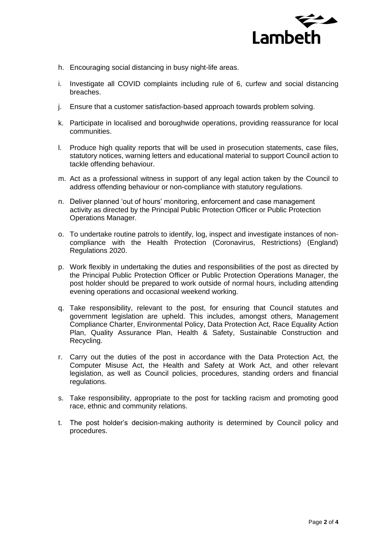

- h. Encouraging social distancing in busy night-life areas.
- i. Investigate all COVID complaints including rule of 6, curfew and social distancing breaches.
- j. Ensure that a customer satisfaction-based approach towards problem solving.
- k. Participate in localised and boroughwide operations, providing reassurance for local communities.
- l. Produce high quality reports that will be used in prosecution statements, case files, statutory notices, warning letters and educational material to support Council action to tackle offending behaviour.
- m. Act as a professional witness in support of any legal action taken by the Council to address offending behaviour or non-compliance with statutory regulations.
- n. Deliver planned 'out of hours' monitoring, enforcement and case management activity as directed by the Principal Public Protection Officer or Public Protection Operations Manager.
- o. To undertake routine patrols to identify, log, inspect and investigate instances of noncompliance with the Health Protection (Coronavirus, Restrictions) (England) Regulations 2020.
- p. Work flexibly in undertaking the duties and responsibilities of the post as directed by the Principal Public Protection Officer or Public Protection Operations Manager, the post holder should be prepared to work outside of normal hours, including attending evening operations and occasional weekend working.
- q. Take responsibility, relevant to the post, for ensuring that Council statutes and government legislation are upheld. This includes, amongst others, Management Compliance Charter, Environmental Policy, Data Protection Act, Race Equality Action Plan, Quality Assurance Plan, Health & Safety, Sustainable Construction and Recycling.
- r. Carry out the duties of the post in accordance with the Data Protection Act, the Computer Misuse Act, the Health and Safety at Work Act, and other relevant legislation, as well as Council policies, procedures, standing orders and financial regulations.
- s. Take responsibility, appropriate to the post for tackling racism and promoting good race, ethnic and community relations.
- t. The post holder's decision-making authority is determined by Council policy and procedures.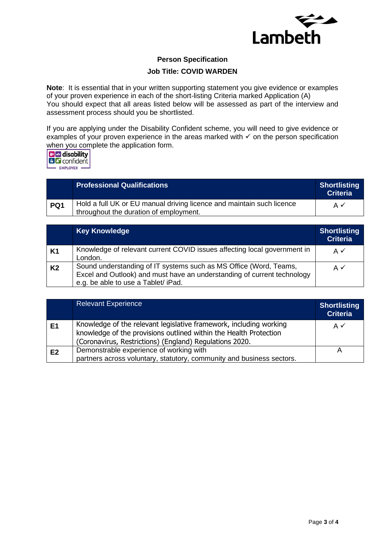

## **Person Specification**

### **Job Title: COVID WARDEN**

**Note**: It is essential that in your written supporting statement you give evidence or examples of your proven experience in each of the short-listing Criteria marked Application (A) You should expect that all areas listed below will be assessed as part of the interview and assessment process should you be shortlisted.

If you are applying under the Disability Confident scheme, you will need to give evidence or examples of your proven experience in the areas marked with  $\checkmark$  on the person specification when you complete the application form.

| <mark>꼬</mark> ळ disability  <br><b>I</b> confident l |  |
|-------------------------------------------------------|--|
| <b>EMPLOYER</b>                                       |  |

|     | <b>Professional Qualifications</b>                                                                              | <b>Shortlisting</b><br><b>Criteria</b> |
|-----|-----------------------------------------------------------------------------------------------------------------|----------------------------------------|
| PQ1 | Hold a full UK or EU manual driving licence and maintain such licence<br>throughout the duration of employment. | A✓                                     |

|                | <b>Key Knowledge</b>                                                                                                                                                                | <b>Shortlisting</b><br><b>Criteria</b> |
|----------------|-------------------------------------------------------------------------------------------------------------------------------------------------------------------------------------|----------------------------------------|
| <b>K1</b>      | Knowledge of relevant current COVID issues affecting local government in<br>London.                                                                                                 | A✓                                     |
| K <sub>2</sub> | Sound understanding of IT systems such as MS Office (Word, Teams,<br>Excel and Outlook) and must have an understanding of current technology<br>e.g. be able to use a Tablet/ iPad. | $A \checkmark$                         |

|                | <b>Relevant Experience</b>                                                                                                                                                                         | <b>Shortlisting</b><br><b>Criteria</b> |
|----------------|----------------------------------------------------------------------------------------------------------------------------------------------------------------------------------------------------|----------------------------------------|
| E <sub>1</sub> | Knowledge of the relevant legislative framework, including working<br>knowledge of the provisions outlined within the Health Protection<br>(Coronavirus, Restrictions) (England) Regulations 2020. | A $\checkmark$                         |
| E2             | Demonstrable experience of working with<br>partners across voluntary, statutory, community and business sectors.                                                                                   |                                        |